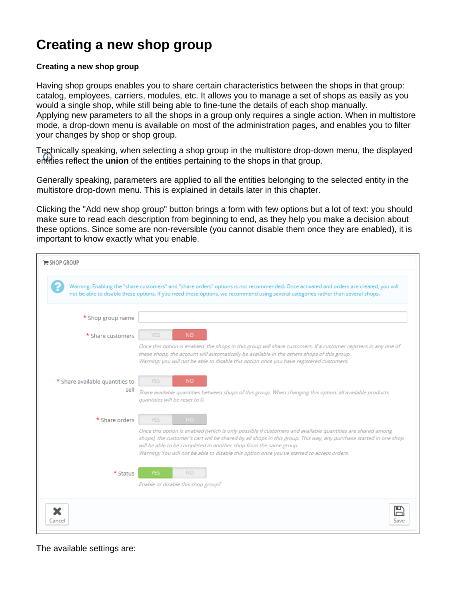## **Creating a new shop group**

## **Creating a new shop group**

Having shop groups enables you to share certain characteristics between the shops in that group: catalog, employees, carriers, modules, etc. It allows you to manage a set of shops as easily as you would a single shop, while still being able to fine-tune the details of each shop manually. Applying new parameters to all the shops in a group only requires a single action. When in multistore mode, a drop-down menu is available on most of the administration pages, and enables you to filter your changes by shop or shop group.

Technically speaking, when selecting a shop group in the multistore drop-down menu, the displayed entities reflect the **union** of the entities pertaining to the shops in that group.

Generally speaking, parameters are applied to all the entities belonging to the selected entity in the multistore drop-down menu. This is explained in details later in this chapter.

Clicking the "Add new shop group" button brings a form with few options but a lot of text: you should make sure to read each description from beginning to end, as they help you make a decision about these options. Since some are non-reversible (you cannot disable them once they are enabled), it is important to know exactly what you enable.

| $E$ SHOP GROUP                                                                                                                                                                                                                                                              |                                                                                                                                                                                                                                                                                                                                                                                                    |
|-----------------------------------------------------------------------------------------------------------------------------------------------------------------------------------------------------------------------------------------------------------------------------|----------------------------------------------------------------------------------------------------------------------------------------------------------------------------------------------------------------------------------------------------------------------------------------------------------------------------------------------------------------------------------------------------|
| Warning: Enabling the "share customers" and "share orders" options is not recommended. Once activated and orders are created, you will<br>not be able to disable these options. If you need these options, we recommend using several categories rather than several shops. |                                                                                                                                                                                                                                                                                                                                                                                                    |
| * Shop group name                                                                                                                                                                                                                                                           |                                                                                                                                                                                                                                                                                                                                                                                                    |
| * Share customers                                                                                                                                                                                                                                                           | <b>YES</b><br><b>NO</b>                                                                                                                                                                                                                                                                                                                                                                            |
|                                                                                                                                                                                                                                                                             | Once this option is enabled, the shops in this group will share customers. If a customer registers in any one of<br>these shops, the account will automatically be available in the others shops of this group.<br>Warning: you will not be able to disable this option once you have registered customers.                                                                                        |
| * Share available quantities to<br>sell                                                                                                                                                                                                                                     | <b>YES</b><br>NO.<br>Share available quantities between shops of this group. When changing this option, all available products<br>quantities will be reset to 0.                                                                                                                                                                                                                                   |
| * Share orders                                                                                                                                                                                                                                                              | <b>YES</b><br>NO.                                                                                                                                                                                                                                                                                                                                                                                  |
|                                                                                                                                                                                                                                                                             | Once this option is enabled (which is only possible if customers and available quantities are shared among<br>shops), the customer's cart will be shared by all shops in this group. This way, any purchase started in one shop<br>will be able to be completed in another shop from the same group.<br>Warning: You will not be able to disable this option once you've started to accept orders. |
| * Status                                                                                                                                                                                                                                                                    | YES<br><b>NO</b><br>Enable or disable this shop group?                                                                                                                                                                                                                                                                                                                                             |
| Cance                                                                                                                                                                                                                                                                       | Save                                                                                                                                                                                                                                                                                                                                                                                               |

The available settings are: